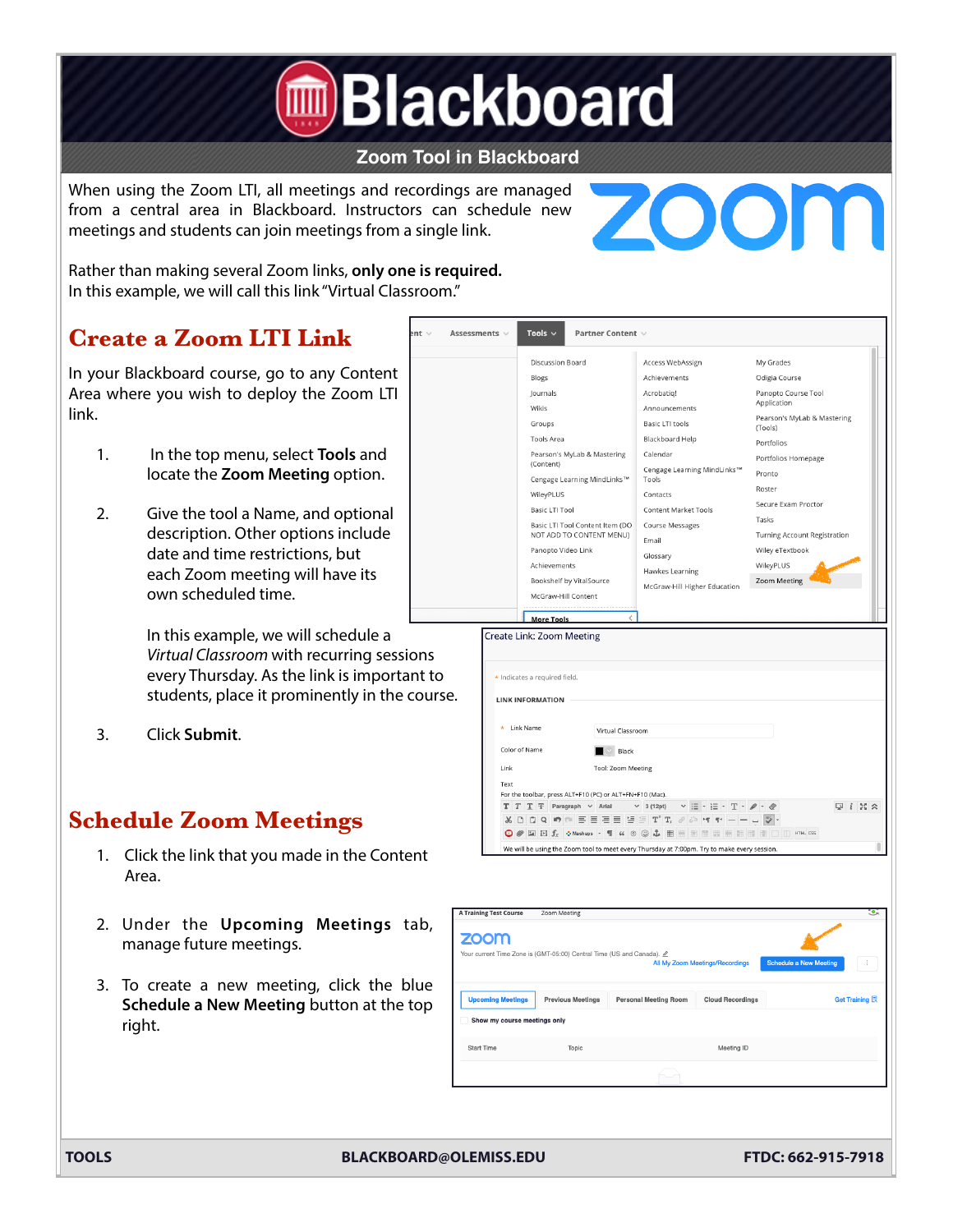

## **Zoom Tool in Blackboard**

Assessments  $\vee$ 

Tools  $\sim$ 

When using the Zoom LTI, all meetings and recordings are managed from a central area in Blackboard. Instructors can schedule new meetings and students can join meetings from a single link.



Rather than making several Zoom links, **only one is required.**  In this example, we will call this link "Virtual Classroom."

# **Create a Zoom LTI Link**

In your Blackboard course, go to any Content Area where you wish to deploy the Zoom LTI link.

- 1. In the top menu, select **Tools** and locate the **Zoom Meeting** option.
- 2. Give the tool a Name, and optional description. Other options include date and time restrictions, but each Zoom meeting will have its own scheduled time.

In this example, we will schedule a *Virtual Classroom* with recurring sessions every Thursday. As the link is important to students, place it prominently in the course.

3. Click **Submit**.

# **Schedule Zoom Meetings**

- 1. Click the link that you made in the Content Area.
- 2. Under the **Upcoming Meetings** tab, manage future meetings.
- 3. To create a new meeting, click the blue **Schedule a New Meeting** button at the top right.



Partner Content

| <b>ZOOM</b>                  | Your current Time Zone is (GMT-05:00) Central Time (US and Canada). 2 |                              | All My Zoom Meetings/Recordings | <b>Schedule a New Meeting</b> |
|------------------------------|-----------------------------------------------------------------------|------------------------------|---------------------------------|-------------------------------|
| <b>Upcoming Meetings</b>     | <b>Previous Meetings</b>                                              | <b>Personal Meeting Room</b> | <b>Cloud Recordings</b>         | Get Training <b>艮</b>         |
| Show my course meetings only |                                                                       |                              |                                 |                               |
| <b>Start Time</b>            | Topic                                                                 |                              | Meeting ID                      |                               |
|                              |                                                                       |                              |                                 |                               |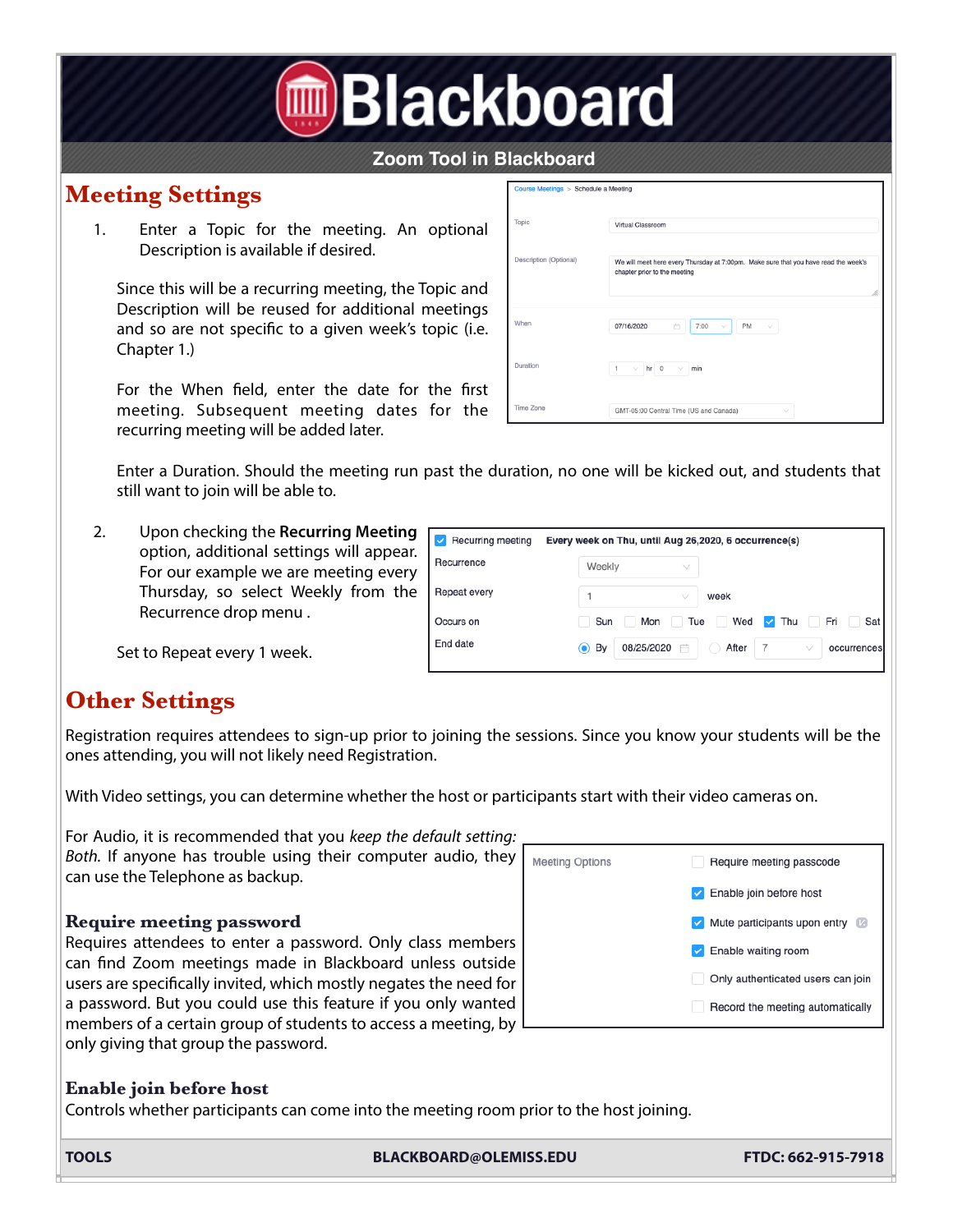# **<u>I</u>**Blackboard

# **Zoom Tool in Blackboard**

# **Meeting Settings**

1. Enter a Topic for the meeting. An optional Description is available if desired.

Since this will be a recurring meeting, the Topic and Description will be reused for additional meetings and so are not specifc to a given week's topic (i.e. Chapter 1.)

For the When feld, enter the date for the frst meeting. Subsequent meeting dates for the recurring meeting will be added later.

| Course Meetings > Schedule a Meeting |                                                                                                                     |
|--------------------------------------|---------------------------------------------------------------------------------------------------------------------|
| Topic                                | Virtual Classroom                                                                                                   |
| Description (Optional)               | We will meet here every Thursday at 7:00pm. Make sure that you have read the week's<br>chapter prior to the meeting |
| When                                 | <b>PM</b><br>07/16/2020<br>7:00<br>自<br>$\vee$<br>V                                                                 |
| Duration                             | $\overline{1}$<br>$\vee$   hr   0<br>$\vee$<br>min                                                                  |
| Time Zone                            | GMT-05:00 Central Time (US and Canada)<br>$\checkmark$                                                              |

Enter a Duration. Should the meeting run past the duration, no one will be kicked out, and students that still want to join will be able to.

2. Upon checking the **Recurring Meeting** option, additional settings will appear. For our example we are meeting every Thursday, so select Weekly from the Recurrence drop menu .

| Recurring meeting | Every week on Thu, until Aug 26,2020, 6 occurrence(s)                |
|-------------------|----------------------------------------------------------------------|
| Recurrence        | Weekly<br>$\checkmark$                                               |
| Repeat every      | week<br>$\checkmark$                                                 |
| Occurs on         | Fri<br>Sun<br>Wed<br>Tue<br>Mon<br>Thu<br>Sat<br>$\checkmark$        |
| End date          | , By<br>08/25/2020<br>After<br>$\odot$<br>曲<br>occurrences<br>$\vee$ |

Set to Repeat every 1 week.

# **Other Settings**

Registration requires attendees to sign-up prior to joining the sessions. Since you know your students will be the ones attending, you will not likely need Registration.

With Video settings, you can determine whether the host or participants start with their video cameras on.

For Audio, it is recommended that you *keep the default setting: Both.* If anyone has trouble using their computer audio, they can use the Telephone as backup.

## **Require meeting password**

Requires attendees to enter a password. Only class members can fnd Zoom meetings made in Blackboard unless outside users are specifcally invited, which mostly negates the need for a password. But you could use this feature if you only wanted members of a certain group of students to access a meeting, by only giving that group the password.



# **Enable join before host**

Controls whether participants can come into the meeting room prior to the host joining.

**TOOLS BLACKBOARD@OLEMISS.EDU FTDC: 662-915-7918**